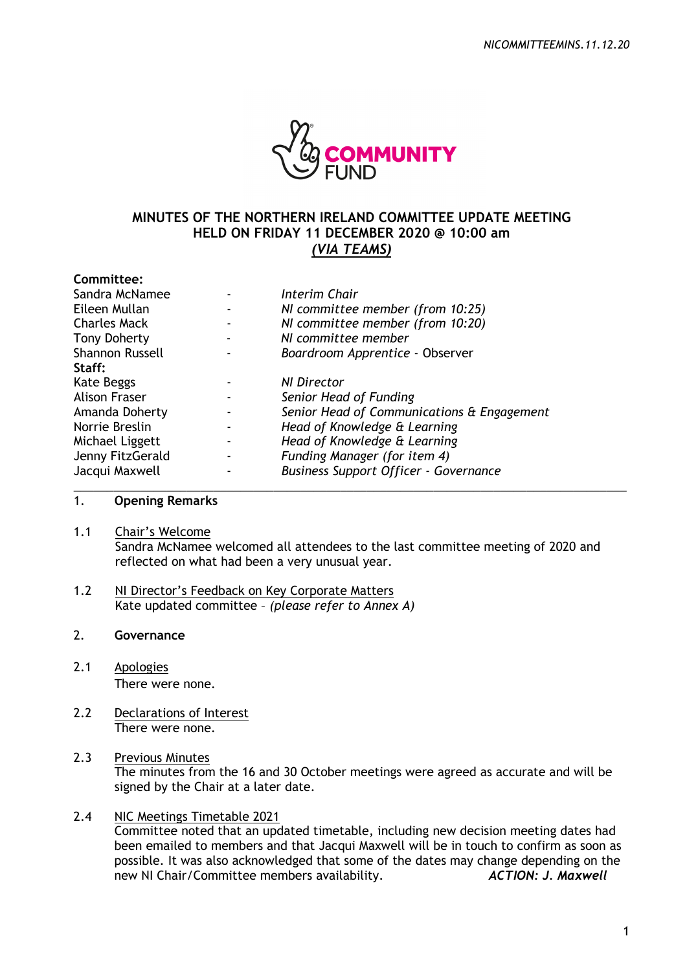

# **MINUTES OF THE NORTHERN IRELAND COMMITTEE UPDATE MEETING HELD ON FRIDAY 11 DECEMBER 2020 @ 10:00 am**  *(VIA TEAMS)*

| Committee:             |                                              |
|------------------------|----------------------------------------------|
| Sandra McNamee         | Interim Chair                                |
| Eileen Mullan          | NI committee member (from 10:25)             |
| <b>Charles Mack</b>    | NI committee member (from 10:20)             |
| <b>Tony Doherty</b>    | NI committee member                          |
| <b>Shannon Russell</b> | Boardroom Apprentice - Observer              |
| Staff:                 |                                              |
| Kate Beggs             | NI Director                                  |
| <b>Alison Fraser</b>   | Senior Head of Funding                       |
| Amanda Doherty         | Senior Head of Communications & Engagement   |
| Norrie Breslin         | Head of Knowledge & Learning                 |
| Michael Liggett        | Head of Knowledge & Learning                 |
| Jenny FitzGerald       | Funding Manager (for item 4)                 |
| Jacqui Maxwell         | <b>Business Support Officer - Governance</b> |

# 1. **Opening Remarks**

1.1 Chair's Welcome

Sandra McNamee welcomed all attendees to the last committee meeting of 2020 and reflected on what had been a very unusual year.

\_\_\_\_\_\_\_\_\_\_\_\_\_\_\_\_\_\_\_\_\_\_\_\_\_\_\_\_\_\_\_\_\_\_\_\_\_\_\_\_\_\_\_\_\_\_\_\_\_\_\_\_\_\_\_\_\_\_\_\_\_\_\_\_\_\_\_\_\_\_\_\_\_\_\_\_\_\_\_\_\_\_\_

1.2 NI Director's Feedback on Key Corporate Matters Kate updated committee – *(please refer to Annex A)*

## 2. **Governance**

- 2.1 Apologies There were none.
- 2.2 Declarations of Interest There were none.

# 2.3 Previous Minutes

The minutes from the 16 and 30 October meetings were agreed as accurate and will be signed by the Chair at a later date.

## 2.4 NIC Meetings Timetable 2021

Committee noted that an updated timetable, including new decision meeting dates had been emailed to members and that Jacqui Maxwell will be in touch to confirm as soon as possible. It was also acknowledged that some of the dates may change depending on the new NI Chair/Committee members availability. *ACTION: J. Maxwell*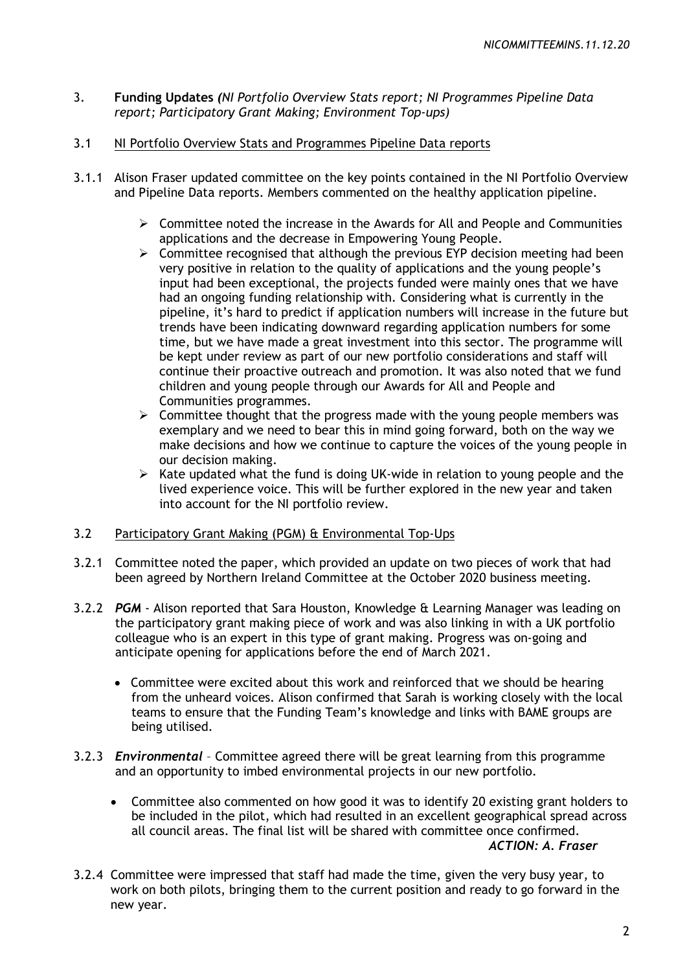- 3. **Funding Updates** *(NI Portfolio Overview Stats report; NI Programmes Pipeline Data report; Participatory Grant Making; Environment Top-ups)*
- 3.1 NI Portfolio Overview Stats and Programmes Pipeline Data reports
- 3.1.1 Alison Fraser updated committee on the key points contained in the NI Portfolio Overview and Pipeline Data reports. Members commented on the healthy application pipeline.
	- $\triangleright$  Committee noted the increase in the Awards for All and People and Communities applications and the decrease in Empowering Young People.
	- $\triangleright$  Committee recognised that although the previous EYP decision meeting had been very positive in relation to the quality of applications and the young people's input had been exceptional, the projects funded were mainly ones that we have had an ongoing funding relationship with. Considering what is currently in the pipeline, it's hard to predict if application numbers will increase in the future but trends have been indicating downward regarding application numbers for some time, but we have made a great investment into this sector. The programme will be kept under review as part of our new portfolio considerations and staff will continue their proactive outreach and promotion. It was also noted that we fund children and young people through our Awards for All and People and Communities programmes.
	- $\triangleright$  Committee thought that the progress made with the young people members was exemplary and we need to bear this in mind going forward, both on the way we make decisions and how we continue to capture the voices of the young people in our decision making.
	- ¾ Kate updated what the fund is doing UK-wide in relation to young people and the lived experience voice. This will be further explored in the new year and taken into account for the NI portfolio review.
- 3.2 Participatory Grant Making (PGM) & Environmental Top-Ups
- 3.2.1 Committee noted the paper, which provided an update on two pieces of work that had been agreed by Northern Ireland Committee at the October 2020 business meeting.
- 3.2.2 *PGM* Alison reported that Sara Houston, Knowledge & Learning Manager was leading on the participatory grant making piece of work and was also linking in with a UK portfolio colleague who is an expert in this type of grant making. Progress was on-going and anticipate opening for applications before the end of March 2021.
	- Committee were excited about this work and reinforced that we should be hearing from the unheard voices. Alison confirmed that Sarah is working closely with the local teams to ensure that the Funding Team's knowledge and links with BAME groups are being utilised.
- 3.2.3 *Environmental*  Committee agreed there will be great learning from this programme and an opportunity to imbed environmental projects in our new portfolio.
	- Committee also commented on how good it was to identify 20 existing grant holders to be included in the pilot, which had resulted in an excellent geographical spread across all council areas. The final list will be shared with committee once confirmed. *ACTION: A. Fraser*
- 3.2.4 Committee were impressed that staff had made the time, given the very busy year, to work on both pilots, bringing them to the current position and ready to go forward in the new year.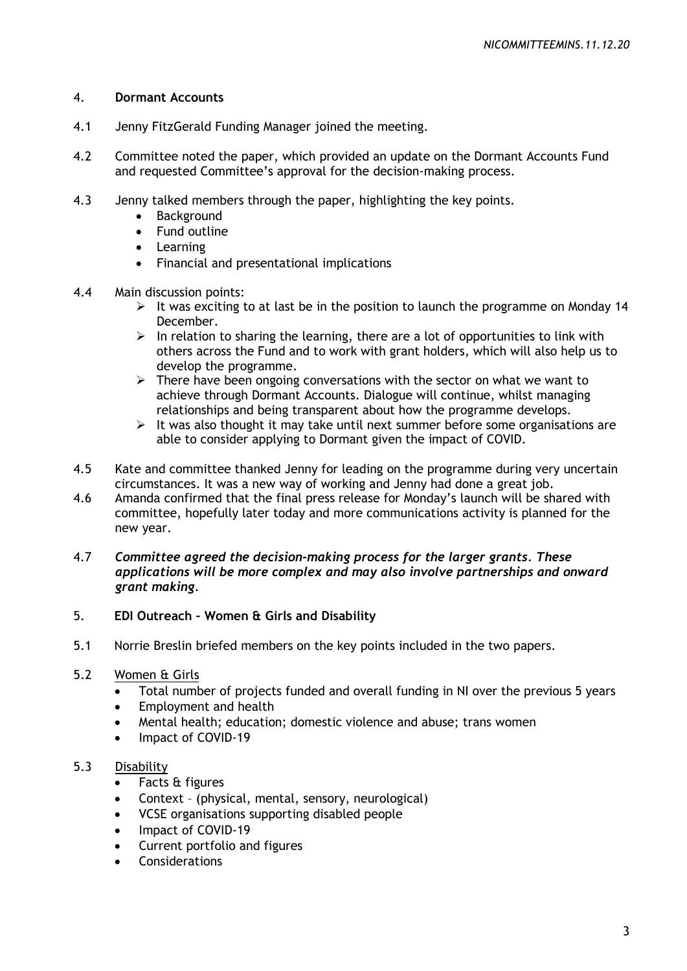## 4. **Dormant Accounts**

- 4.1 Jenny FitzGerald Funding Manager joined the meeting.
- 4.2 Committee noted the paper, which provided an update on the Dormant Accounts Fund and requested Committee's approval for the decision-making process.
- 4.3 Jenny talked members through the paper, highlighting the key points.
	- **Background**
	- Fund outline
	- Learning
	- Financial and presentational implications
- 4.4 Main discussion points:
	- $\triangleright$  It was exciting to at last be in the position to launch the programme on Monday 14 December.
	- $\triangleright$  In relation to sharing the learning, there are a lot of opportunities to link with others across the Fund and to work with grant holders, which will also help us to develop the programme.
	- $\triangleright$  There have been ongoing conversations with the sector on what we want to achieve through Dormant Accounts. Dialogue will continue, whilst managing relationships and being transparent about how the programme develops.
	- $\geq$  It was also thought it may take until next summer before some organisations are able to consider applying to Dormant given the impact of COVID.
- 4.5 Kate and committee thanked Jenny for leading on the programme during very uncertain circumstances. It was a new way of working and Jenny had done a great job.
- 4.6 Amanda confirmed that the final press release for Monday's launch will be shared with committee, hopefully later today and more communications activity is planned for the new year.
- 4.7 *Committee agreed the decision-making process for the larger grants. These applications will be more complex and may also involve partnerships and onward grant making.*

# 5. **EDI Outreach – Women & Girls and Disability**

- 5.1 Norrie Breslin briefed members on the key points included in the two papers.
- 5.2 Women & Girls
	- Total number of projects funded and overall funding in NI over the previous 5 years
	- Employment and health
	- Mental health; education; domestic violence and abuse; trans women
	- Impact of COVID-19

## 5.3 Disability

- Facts & figures
- Context (physical, mental, sensory, neurological)
- VCSE organisations supporting disabled people
- Impact of COVID-19
- Current portfolio and figures
- **Considerations**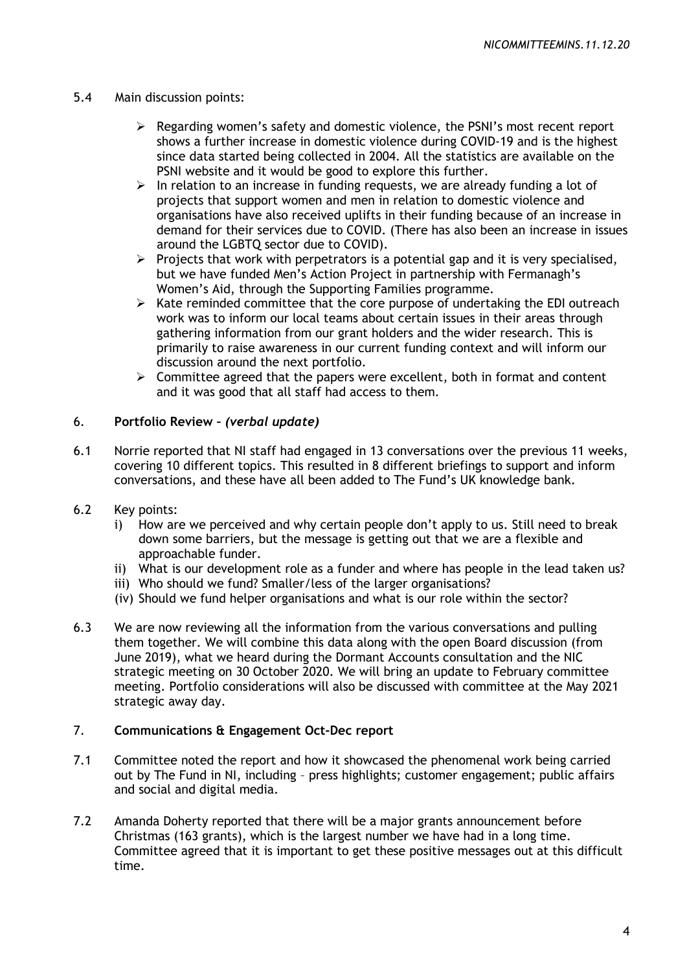## 5.4 Main discussion points:

- $\triangleright$  Regarding women's safety and domestic violence, the PSNI's most recent report shows a further increase in domestic violence during COVID-19 and is the highest since data started being collected in 2004. All the statistics are available on the PSNI website and it would be good to explore this further.
- $\triangleright$  In relation to an increase in funding requests, we are already funding a lot of projects that support women and men in relation to domestic violence and organisations have also received uplifts in their funding because of an increase in demand for their services due to COVID. (There has also been an increase in issues around the LGBTQ sector due to COVID).
- $\triangleright$  Projects that work with perpetrators is a potential gap and it is very specialised, but we have funded Men's Action Project in partnership with Fermanagh's Women's Aid, through the Supporting Families programme.
- $\triangleright$  Kate reminded committee that the core purpose of undertaking the EDI outreach work was to inform our local teams about certain issues in their areas through gathering information from our grant holders and the wider research. This is primarily to raise awareness in our current funding context and will inform our discussion around the next portfolio.
- $\triangleright$  Committee agreed that the papers were excellent, both in format and content and it was good that all staff had access to them.

#### 6. **Portfolio Review –** *(verbal update)*

- 6.1 Norrie reported that NI staff had engaged in 13 conversations over the previous 11 weeks, covering 10 different topics. This resulted in 8 different briefings to support and inform conversations, and these have all been added to The Fund's UK knowledge bank.
- 6.2 Key points:
	- i) How are we perceived and why certain people don't apply to us. Still need to break down some barriers, but the message is getting out that we are a flexible and approachable funder.
	- ii) What is our development role as a funder and where has people in the lead taken us?
	- iii) Who should we fund? Smaller/less of the larger organisations?
	- (iv) Should we fund helper organisations and what is our role within the sector?
- 6.3 We are now reviewing all the information from the various conversations and pulling them together. We will combine this data along with the open Board discussion (from June 2019), what we heard during the Dormant Accounts consultation and the NIC strategic meeting on 30 October 2020. We will bring an update to February committee meeting. Portfolio considerations will also be discussed with committee at the May 2021 strategic away day.

#### 7. **Communications & Engagement Oct-Dec report**

- 7.1 Committee noted the report and how it showcased the phenomenal work being carried out by The Fund in NI, including – press highlights; customer engagement; public affairs and social and digital media.
- 7.2 Amanda Doherty reported that there will be a major grants announcement before Christmas (163 grants), which is the largest number we have had in a long time. Committee agreed that it is important to get these positive messages out at this difficult time.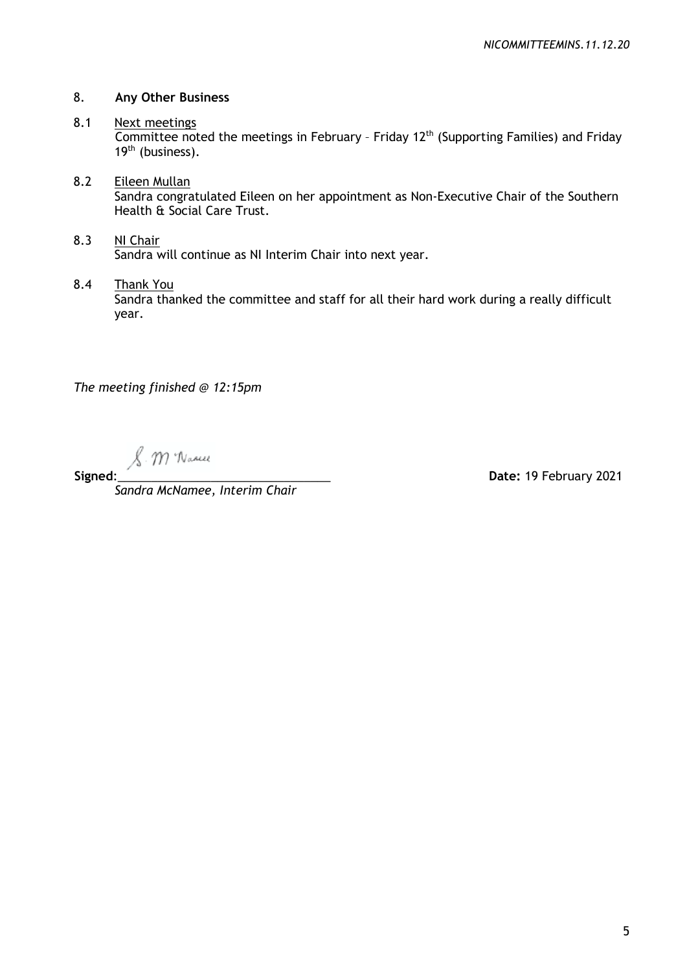## 8. **Any Other Business**

# 8.1 Next meetings

Committee noted the meetings in February - Friday 12<sup>th</sup> (Supporting Families) and Friday 19<sup>th</sup> (business).

# 8.2 Eileen Mullan

Sandra congratulated Eileen on her appointment as Non-Executive Chair of the Southern Health & Social Care Trust.

# 8.3 NI Chair Sandra will continue as NI Interim Chair into next year.

8.4 Thank You

Sandra thanked the committee and staff for all their hard work during a really difficult year.

*The meeting finished @ 12:15pm*

. M Wanne

*Sandra McNamee, Interim Chair*

**Signed**:\_\_\_\_\_\_\_\_\_\_\_\_\_\_\_\_\_\_\_\_\_\_\_\_\_\_\_\_\_\_\_\_ **Date:** 19 February 2021